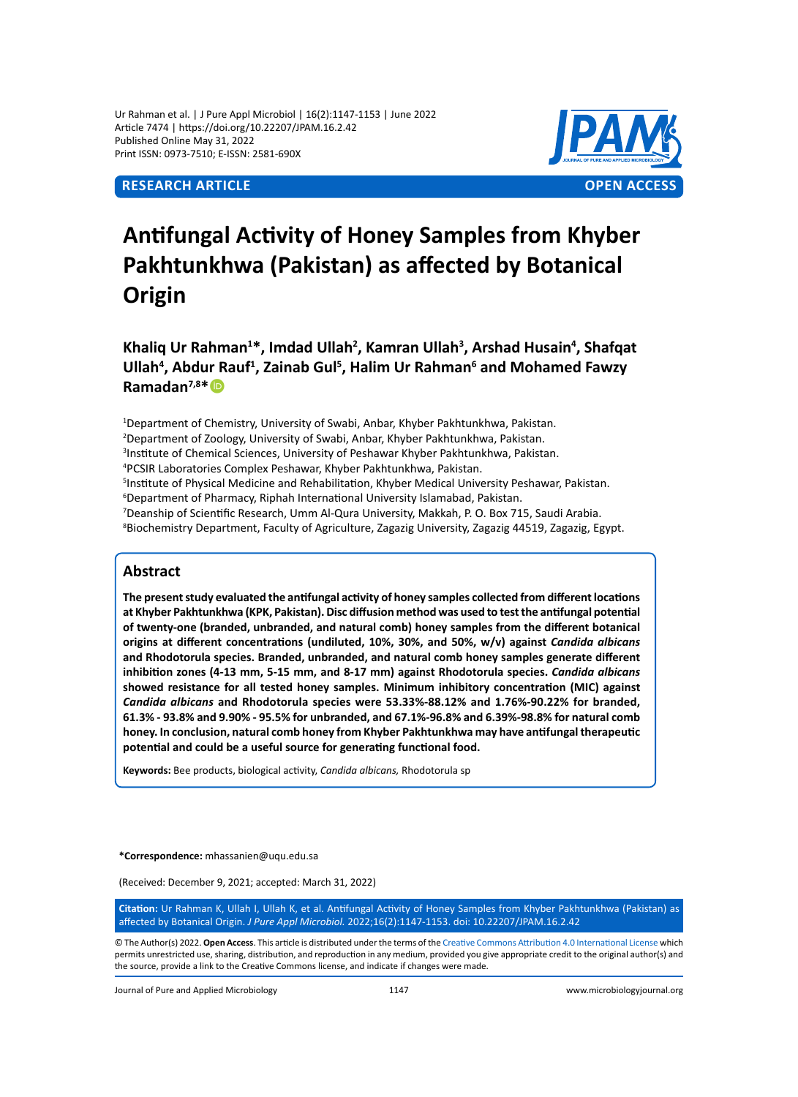Ur Rahman et al. | J Pure Appl Microbiol | 16(2):1147-1153 | June 2022 Article 7474 | https://doi.org/10.22207/JPAM.16.2.42 Published Online May 31, 2022 Print ISSN: 0973-7510; E-ISSN: 2581-690X



# **Antifungal Activity of Honey Samples from Khyber Pakhtunkhwa (Pakistan) as affected by Botanical Origin**

**Khaliq Ur Rahman<sup>1</sup> \*, Imdad Ullah<sup>2</sup> , Kamran Ullah<sup>3</sup> , Arshad Husain<sup>4</sup> , Shafqat Ullah<sup>4</sup> , Abdur Rauf<sup>1</sup> , Zainab Gul<sup>5</sup> , Halim Ur Rahman<sup>6</sup> and Mohamed Fawzy Ramadan7,8\***

 Department of Chemistry, University of Swabi, Anbar, Khyber Pakhtunkhwa, Pakistan. Department of Zoology, University of Swabi, Anbar, Khyber Pakhtunkhwa, Pakistan. Institute of Chemical Sciences, University of Peshawar Khyber Pakhtunkhwa, Pakistan. PCSIR Laboratories Complex Peshawar, Khyber Pakhtunkhwa, Pakistan. Institute of Physical Medicine and Rehabilitation, Khyber Medical University Peshawar, Pakistan. Department of Pharmacy, Riphah International University Islamabad, Pakistan. Deanship of Scientific Research, Umm Al-Qura University, Makkah, P. O. Box 715, Saudi Arabia. <sup>8</sup>Biochemistry Department, Faculty of Agriculture, Zagazig University, Zagazig 44519, Zagazig, Egypt.

# **Abstract**

**The present study evaluated the antifungal activity of honey samples collected from different locations at Khyber Pakhtunkhwa (KPK, Pakistan). Disc diffusion method was used to test the antifungal potential of twenty-one (branded, unbranded, and natural comb) honey samples from the different botanical origins at different concentrations (undiluted, 10%, 30%, and 50%, w/v) against** *Candida albicans*  **and Rhodotorula species. Branded, unbranded, and natural comb honey samples generate different inhibition zones (4-13 mm, 5-15 mm, and 8-17 mm) against Rhodotorula species.** *Candida albicans*  **showed resistance for all tested honey samples. Minimum inhibitory concentration (MIC) against**  *Candida albicans* **and Rhodotorula species were 53.33%-88.12% and 1.76%-90.22% for branded, 61.3% - 93.8% and 9.90% - 95.5% for unbranded, and 67.1%-96.8% and 6.39%-98.8% for natural comb honey. In conclusion, natural comb honey from Khyber Pakhtunkhwa may have antifungal therapeutic potential and could be a useful source for generating functional food.**

**Keywords:** Bee products, biological activity, *Candida albicans,* Rhodotorula sp

**\*Correspondence:** mhassanien@uqu.edu.sa

(Received: December 9, 2021; accepted: March 31, 2022)

**Citation:** Ur Rahman K, Ullah I, Ullah K, et al. Antifungal Activity of Honey Samples from Khyber Pakhtunkhwa (Pakistan) as affected by Botanical Origin. *J Pure Appl Microbiol.* 2022;16(2):1147-1153. doi: 10.22207/JPAM.16.2.42

© The Author(s) 2022. **Open Access**. This article is distributed under the terms of the [Creative Commons Attribution 4.0 International License](https://creativecommons.org/licenses/by/4.0/) which permits unrestricted use, sharing, distribution, and reproduction in any medium, provided you give appropriate credit to the original author(s) and the source, provide a link to the Creative Commons license, and indicate if changes were made.

Journal of Pure and Applied Microbiology 1147 www.microbiologyjournal.org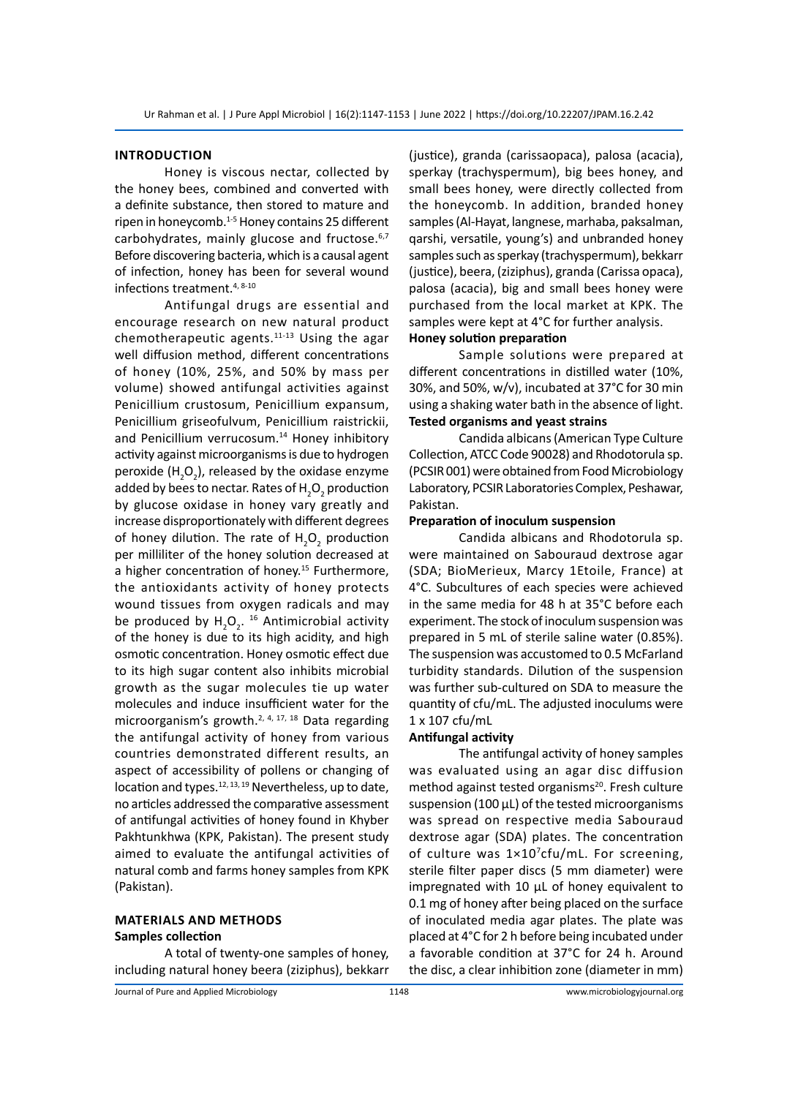#### **Introduction**

Honey is viscous nectar, collected by the honey bees, combined and converted with a definite substance, then stored to mature and ripen in honeycomb.<sup>1-5</sup> Honey contains 25 different carbohydrates, mainly glucose and fructose.<sup>6,7</sup> Before discovering bacteria, which is a causal agent of infection, honey has been for several wound infections treatment.4, 8-10

Antifungal drugs are essential and encourage research on new natural product chemotherapeutic agents.<sup>11-13</sup> Using the agar well diffusion method, different concentrations of honey (10%, 25%, and 50% by mass per volume) showed antifungal activities against Penicillium crustosum, Penicillium expansum, Penicillium griseofulvum, Penicillium raistrickii, and Penicillium verrucosum.<sup>14</sup> Honey inhibitory activity against microorganisms is due to hydrogen peroxide  $(H_2O_2)$ , released by the oxidase enzyme added by bees to nectar. Rates of  $\mathsf{H}_\mathsf{2}\mathsf{O}_\mathsf{2}$  production by glucose oxidase in honey vary greatly and increase disproportionately with different degrees of honey dilution. The rate of  $H_2O_2$  production per milliliter of the honey solution decreased at a higher concentration of honey.<sup>15</sup> Furthermore, the antioxidants activity of honey protects wound tissues from oxygen radicals and may be produced by  $H_2O_2$ . <sup>16</sup> Antimicrobial activity of the honey is due to its high acidity, and high osmotic concentration. Honey osmotic effect due to its high sugar content also inhibits microbial growth as the sugar molecules tie up water molecules and induce insufficient water for the microorganism's growth.<sup>2, 4, 17, 18</sup> Data regarding the antifungal activity of honey from various countries demonstrated different results, an aspect of accessibility of pollens or changing of location and types.<sup>12, 13, 19</sup> Nevertheless, up to date, no articles addressed the comparative assessment of antifungal activities of honey found in Khyber Pakhtunkhwa (KPK, Pakistan). The present study aimed to evaluate the antifungal activities of natural comb and farms honey samples from KPK (Pakistan).

## **Materials and methods Samples collection**

A total of twenty-one samples of honey, including natural honey beera (ziziphus), bekkarr (justice), granda (carissaopaca), palosa (acacia), sperkay (trachyspermum), big bees honey, and small bees honey, were directly collected from the honeycomb. In addition, branded honey samples (Al-Hayat, langnese, marhaba, paksalman, qarshi, versatile, young's) and unbranded honey samples such as sperkay (trachyspermum), bekkarr (justice), beera, (ziziphus), granda (Carissa opaca), palosa (acacia), big and small bees honey were purchased from the local market at KPK. The samples were kept at 4°C for further analysis.

# **Honey solution preparation**

Sample solutions were prepared at different concentrations in distilled water (10%, 30%, and 50%, w/v), incubated at 37°C for 30 min using a shaking water bath in the absence of light. **Tested organisms and yeast strains**

Candida albicans (American Type Culture Collection, ATCC Code 90028) and Rhodotorula sp. (PCSIR 001) were obtained from Food Microbiology Laboratory, PCSIR Laboratories Complex, Peshawar, Pakistan.

#### **Preparation of inoculum suspension**

Candida albicans and Rhodotorula sp. were maintained on Sabouraud dextrose agar (SDA; BioMerieux, Marcy 1Etoile, France) at 4°C. Subcultures of each species were achieved in the same media for 48 h at 35°C before each experiment. The stock of inoculum suspension was prepared in 5 mL of sterile saline water (0.85%). The suspension was accustomed to 0.5 McFarland turbidity standards. Dilution of the suspension was further sub-cultured on SDA to measure the quantity of cfu/mL. The adjusted inoculums were 1 x 107 cfu/mL

#### **Antifungal activity**

The antifungal activity of honey samples was evaluated using an agar disc diffusion method against tested organisms<sup>20</sup>. Fresh culture suspension (100 μL) of the tested microorganisms was spread on respective media Sabouraud dextrose agar (SDA) plates. The concentration of culture was 1×10<sup>7</sup>cfu/mL. For screening, sterile filter paper discs (5 mm diameter) were impregnated with 10 µL of honey equivalent to 0.1 mg of honey after being placed on the surface of inoculated media agar plates. The plate was placed at 4°C for 2 h before being incubated under a favorable condition at 37°C for 24 h. Around the disc, a clear inhibition zone (diameter in mm)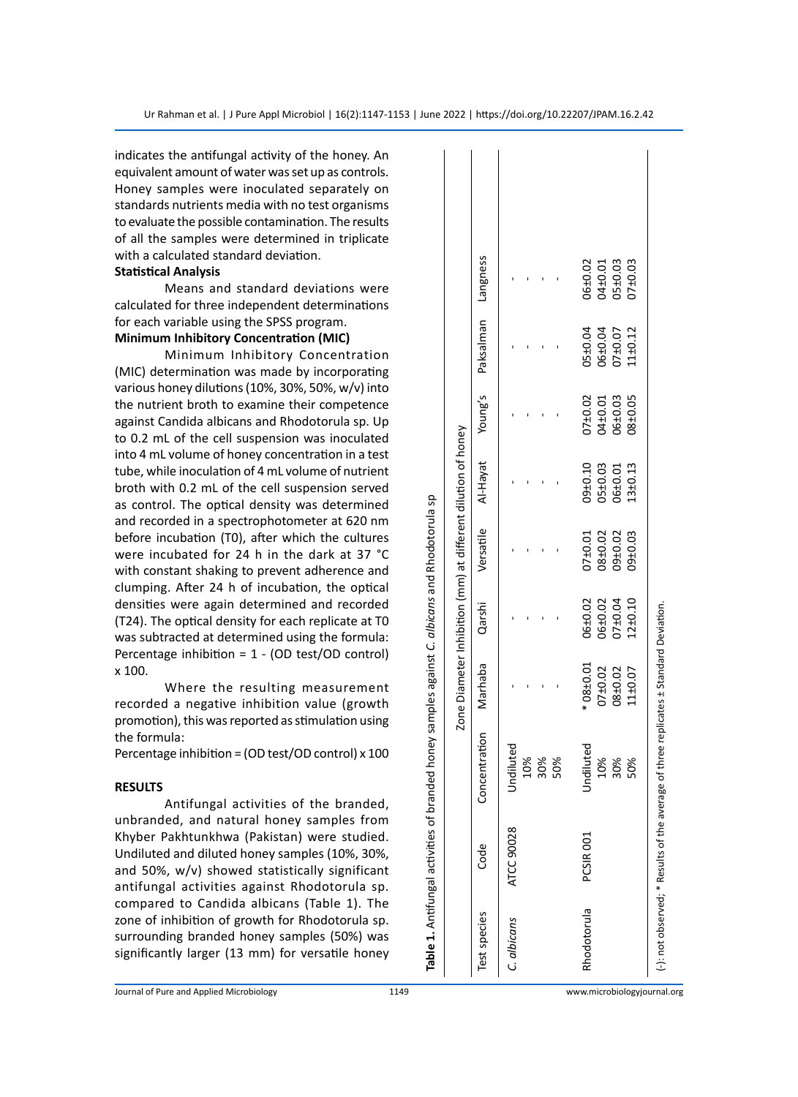indicates the antifungal activity of the honey. An equivalent amount of water was set up as controls. Honey samples were inoculated separately on standards nutrients media with no test organisms to evaluate the possible contamination. The results of all the samples were determined in triplicate with a calculated standard deviation.

#### **Statistical Analysis**

Means and standard deviations were calculated for three independent determinations for each variable using the SPSS program.

# **Minimum Inhibitory Concentration (MIC)**

Minimum Inhibitory Concentration (MIC) determination was made by incorporating various honey dilutions (10%, 30%, 50%, w/v) into the nutrient broth to examine their competence against Candida albicans and Rhodotorula sp. Up to 0.2 mL of the cell suspension was inoculated into 4 mL volume of honey concentration in a test tube, while inoculation of 4 mL volume of nutrient broth with 0.2 mL of the cell suspension served as control. The optical density was determined and recorded in a spectrophotometer at 620 nm before incubation (T0), after which the cultures were incubated for 24 h in the dark at 37 °C with constant shaking to prevent adherence and clumping. After 24 h of incubation, the optical densities were again determined and recorded (T24). The optical density for each replicate at T0 was subtracted at determined using the formula: Percentage inhibition = 1 - (OD test/OD control) x 100.

Where the resulting measurement recorded a negative inhibition value (growth promotion), this was reported as stimulation using the formula:

Percentage inhibition = (OD test/OD control) x 100

#### **RESULTS**

Antifungal activities of the branded, unbranded, and natural honey samples from Khyber Pakhtunkhwa (Pakistan) were studied. Undiluted and diluted honey samples (10%, 30%, and 50%, w/v) showed statistically significant antifungal activities against Rhodotorula sp. compared to Candida albicans (Table 1). The zone of inhibition of growth for Rhodotorula sp. surrounding branded honey samples (50%) was significantly larger (13 mm) for versatile honey

|              |                                                     | Table 1. Antifungal activities of branded honey samples against C. albicans and Rhodotorula sp |                                                              |             |             |             |           |                    |             |
|--------------|-----------------------------------------------------|------------------------------------------------------------------------------------------------|--------------------------------------------------------------|-------------|-------------|-------------|-----------|--------------------|-------------|
|              |                                                     |                                                                                                | Zone Diameter Inhibition (mm) at different dilution of honey |             |             |             |           |                    |             |
| Test species | Code                                                | Concentration                                                                                  | Marhaba                                                      | Qarshi      | Versatile   | Al-Hayat    | Young's   | Paksalman Langness |             |
| C. albicans  | ATCC 90028                                          | Undiluted                                                                                      |                                                              |             |             |             |           |                    |             |
|              |                                                     | 10%                                                                                            |                                                              |             |             |             |           |                    |             |
|              |                                                     | 30%                                                                                            |                                                              |             |             |             |           |                    |             |
|              |                                                     | 50%                                                                                            |                                                              |             |             |             |           |                    |             |
| Rhodotorula  | PCSIR 001                                           | Undiluted                                                                                      | $*08 + 0.01$                                                 | 06±0.02     | 07±0.01     | $09 + 0.10$ | $07+0.02$ | 05±0.04            | 06±0.02     |
|              |                                                     | 10%                                                                                            | $07 + 0.02$                                                  | $06 + 0.02$ | 08±0.02     | 05±0.03     | D4±0.01   | D6±0.04            | $04 + 0.01$ |
|              |                                                     | 30%                                                                                            | 08±0.02                                                      | 07±0.04     | 09±0.02     | 06±0.01     | D6±0.03   | J7±0.07            | 05±0.03     |
|              |                                                     | 50%                                                                                            | 11±0.07                                                      | 12±0.10     | $09 + 0.03$ | 13±0.13     | 38±0.05   | 11±0.12            | 07±0.03     |
|              | (-): not observed; * Results of the average of thre |                                                                                                | e replicates ± Standard Deviation.                           |             |             |             |           |                    |             |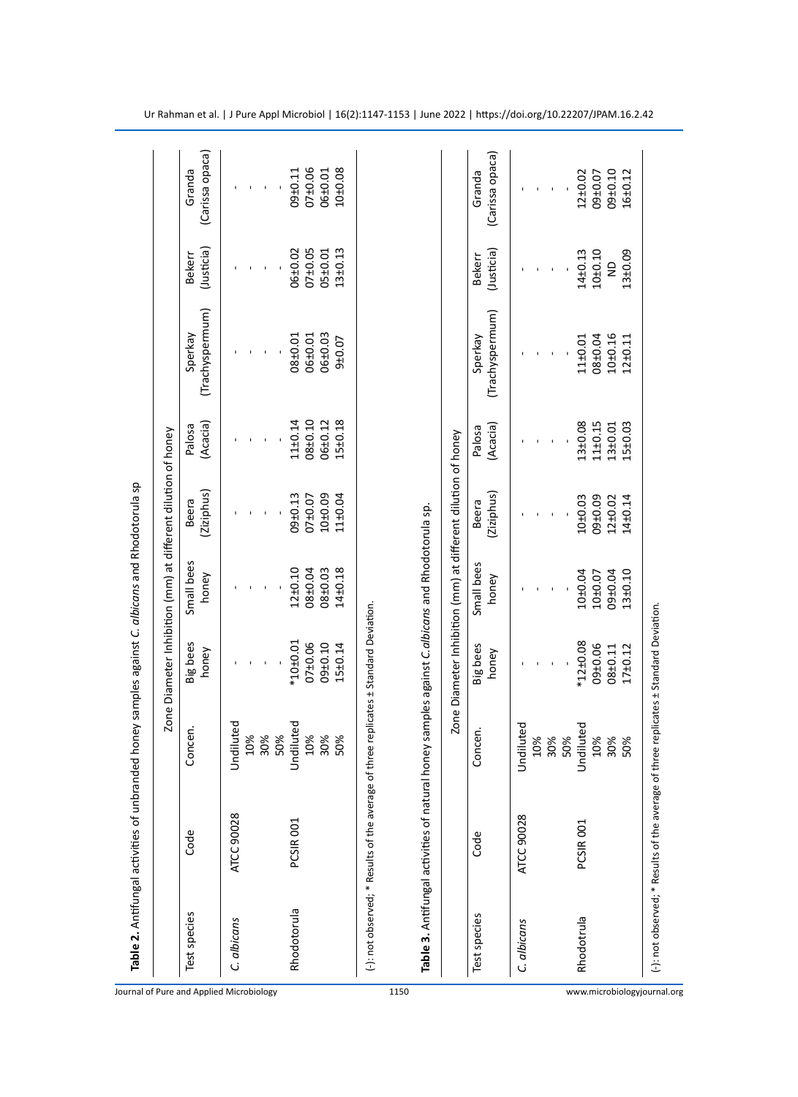|                                                          |                                                                                                |                   |                          | Zone Diameter Inhibition (mm) at different dilution of honey |                     |                    |                            |                             |                           |
|----------------------------------------------------------|------------------------------------------------------------------------------------------------|-------------------|--------------------------|--------------------------------------------------------------|---------------------|--------------------|----------------------------|-----------------------------|---------------------------|
| Test species<br>Journal of Pure and Applied Microbiology | Code                                                                                           | Concen.           | Big bees<br>honey        | Small bees<br>honey                                          | (Ziziphus)<br>Beera | (Acacia)<br>Palosa | (Trachyspermum)<br>Sperkay | (Justicia)<br><b>Bekerr</b> | (Carissa opaca)<br>Granda |
| C. albicans                                              | ATCC 90028                                                                                     | Jndiluted         |                          |                                                              |                     |                    |                            |                             |                           |
|                                                          |                                                                                                | 10%               |                          |                                                              |                     |                    |                            |                             |                           |
|                                                          |                                                                                                | 30%               |                          |                                                              |                     |                    |                            |                             |                           |
|                                                          |                                                                                                | 50%               |                          |                                                              |                     |                    |                            |                             |                           |
| Rhodotorula                                              | PCSIR 001                                                                                      | ndiluted          | $*10 + 0.01$             | $12 + 0.10$                                                  | $09 + 0.13$         | 11±0.14            | 08±0.01                    | 06±0.02                     | $09+0.11$                 |
|                                                          |                                                                                                | 10%               | $07 + 0.06$              | 08±0.04                                                      | $07+0.07$           | 08±0.10            | 06±0.01                    | $07+0.05$                   | $07+0.06$                 |
|                                                          |                                                                                                | 30%               | $09 + 0.10$              | $08 + 0.03$                                                  | 10±0.09             | 06±0.12            | <b>D6±0.03</b>             | 05±0.01                     | 06±0.01                   |
|                                                          |                                                                                                | 50%               | $15 \pm 0.14$            | $14 + 0.18$                                                  | 11±0.04             | 15±0.18            | 9±0.07                     | $13 + 0.13$                 | 10±0.08                   |
|                                                          | Table 3. Antifungal activities of natural honey samples against C.albicans and Rhodotorula sp. |                   |                          | Zone Diameter Inhibition (mm) at different dilution of honey |                     |                    |                            |                             |                           |
|                                                          |                                                                                                |                   |                          |                                                              |                     |                    |                            |                             |                           |
| Test species                                             | Code                                                                                           | Concen.           | <b>Big</b> bees<br>honey | Small bees<br>honey                                          | (Ziziphus)<br>Beera | (Acacia)<br>Palosa | (Trachyspermum)<br>Sperkay | (Justicia)<br><b>Bekerr</b> | (Carissa opaca)<br>Granda |
| C. albicans                                              | ATCC 90028                                                                                     | <b>Jndiluted</b>  |                          |                                                              |                     |                    |                            |                             |                           |
|                                                          |                                                                                                |                   |                          |                                                              |                     |                    |                            |                             |                           |
|                                                          |                                                                                                |                   |                          |                                                              |                     |                    |                            |                             |                           |
|                                                          |                                                                                                | <b>30%</b><br>30% |                          |                                                              |                     |                    |                            |                             |                           |
| Rhodotrula                                               | PCSIR 001                                                                                      | <b>Jndiluted</b>  | $*12 \pm 0.08$           | 10±0.04                                                      | 10±0.03             | 13±0.08            | 11±0.01                    | 14±0.13                     | $12 + 0.02$               |
|                                                          |                                                                                                | 10%<br>30%        | 09±0.06                  | 10±0.07                                                      | 09±0.09             | 11±0.15            | 08±0.04                    | 10±0.10                     | 09±0.07                   |
|                                                          |                                                                                                |                   | 08±0.11                  | 09±0.04                                                      | 12±0.02             | 13±0.01            | 10±0.16                    | $\overline{z}$              | $09 + 0.10$               |
| www.microbiologyjournal.org                              |                                                                                                | 50%               | 17±0.12                  | 13±0.10                                                      | 14±0.14             | 15±0.03            | 12±0.11                    | 13±0.09                     | $16 + 0.12$               |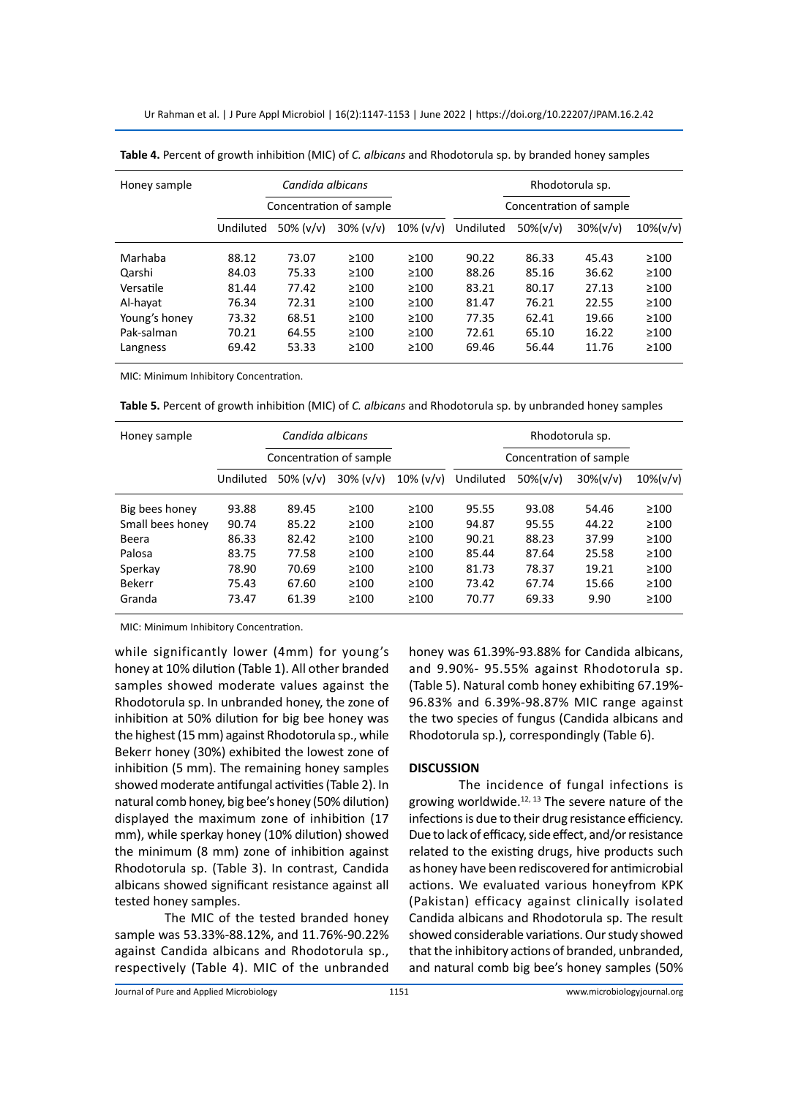Ur Rahman et al. | J Pure Appl Microbiol | 16(2):1147-1153 | June 2022 | https://doi.org/10.22207/JPAM.16.2.42

| Honey sample  |           | Candida albicans |                         |              |           |              |                         |              |
|---------------|-----------|------------------|-------------------------|--------------|-----------|--------------|-------------------------|--------------|
|               |           |                  | Concentration of sample |              |           |              | Concentration of sample |              |
|               | Undiluted | 50% $(v/v)$      | $30\%$ ( $v/v$ )        | $10\%$ (v/v) | Undiluted | $50\% (v/v)$ | $30\% (v/v)$            | $10\% (v/v)$ |
| Marhaba       | 88.12     | 73.07            | >100                    | >100         | 90.22     | 86.33        | 45.43                   | $\geq 100$   |
| Qarshi        | 84.03     | 75.33            | >100                    | >100         | 88.26     | 85.16        | 36.62                   | $\geq 100$   |
| Versatile     | 81.44     | 77.42            | >100                    | ≥100         | 83.21     | 80.17        | 27.13                   | $\geq 100$   |
| Al-hayat      | 76.34     | 72.31            | >100                    | ≥100         | 81.47     | 76.21        | 22.55                   | $\geq 100$   |
| Young's honey | 73.32     | 68.51            | >100                    | >100         | 77.35     | 62.41        | 19.66                   | $\geq 100$   |
| Pak-salman    | 70.21     | 64.55            | $\geq 100$              | ≥100         | 72.61     | 65.10        | 16.22                   | $\geq 100$   |
| Langness      | 69.42     | 53.33            | >100                    | ≥100         | 69.46     | 56.44        | 11.76                   | $\geq 100$   |

**Table 4.** Percent of growth inhibition (MIC) of *C. albicans* and Rhodotorula sp. by branded honey samples

MIC: Minimum Inhibitory Concentration.

**Table 5.** Percent of growth inhibition (MIC) of *C. albicans* and Rhodotorula sp. by unbranded honey samples

| Honey sample     |           | Candida albicans        |              |              |           |              | Rhodotorula sp.         |              |
|------------------|-----------|-------------------------|--------------|--------------|-----------|--------------|-------------------------|--------------|
|                  |           | Concentration of sample |              |              |           |              | Concentration of sample |              |
|                  | Undiluted | 50% $(v/v)$             | $30\%$ (v/v) | $10\%$ (v/v) | Undiluted | $50\% (v/v)$ | $30\% (v/v)$            | $10\% (v/v)$ |
| Big bees honey   | 93.88     | 89.45                   | >100         | >100         | 95.55     | 93.08        | 54.46                   | >100         |
| Small bees honey | 90.74     | 85.22                   | >100         | $\geq 100$   | 94.87     | 95.55        | 44.22                   | $\geq 100$   |
| Beera            | 86.33     | 82.42                   | >100         | $\geq 100$   | 90.21     | 88.23        | 37.99                   | $\geq 100$   |
| Palosa           | 83.75     | 77.58                   | >100         | $\geq$ 100   | 85.44     | 87.64        | 25.58                   | $\geq 100$   |
| Sperkay          | 78.90     | 70.69                   | >100         | $\geq 100$   | 81.73     | 78.37        | 19.21                   | >100         |
| <b>Bekerr</b>    | 75.43     | 67.60                   | >100         | $\geq 100$   | 73.42     | 67.74        | 15.66                   | $\geq 100$   |
| Granda           | 73.47     | 61.39                   | $\geq 100$   | >100         | 70.77     | 69.33        | 9.90                    | $\geq 100$   |

MIC: Minimum Inhibitory Concentration.

while significantly lower (4mm) for young's honey at 10% dilution (Table 1). All other branded samples showed moderate values against the Rhodotorula sp. In unbranded honey, the zone of inhibition at 50% dilution for big bee honey was the highest (15 mm) against Rhodotorula sp., while Bekerr honey (30%) exhibited the lowest zone of inhibition (5 mm). The remaining honey samples showed moderate antifungal activities (Table 2). In natural comb honey, big bee's honey (50% dilution) displayed the maximum zone of inhibition (17 mm), while sperkay honey (10% dilution) showed the minimum (8 mm) zone of inhibition against Rhodotorula sp. (Table 3). In contrast, Candida albicans showed significant resistance against all tested honey samples.

The MIC of the tested branded honey sample was 53.33%-88.12%, and 11.76%-90.22% against Candida albicans and Rhodotorula sp., respectively (Table 4). MIC of the unbranded honey was 61.39%-93.88% for Candida albicans, and 9.90%- 95.55% against Rhodotorula sp. (Table 5). Natural comb honey exhibiting 67.19%- 96.83% and 6.39%-98.87% MIC range against the two species of fungus (Candida albicans and Rhodotorula sp.), correspondingly (Table 6).

## **DISCUSSION**

The incidence of fungal infections is growing worldwide. $12, 13$  The severe nature of the infections is due to their drug resistance efficiency. Due to lack of efficacy, side effect, and/or resistance related to the existing drugs, hive products such as honey have been rediscovered for antimicrobial actions. We evaluated various honeyfrom KPK (Pakistan) efficacy against clinically isolated Candida albicans and Rhodotorula sp. The result showed considerable variations. Our study showed that the inhibitory actions of branded, unbranded, and natural comb big bee's honey samples (50%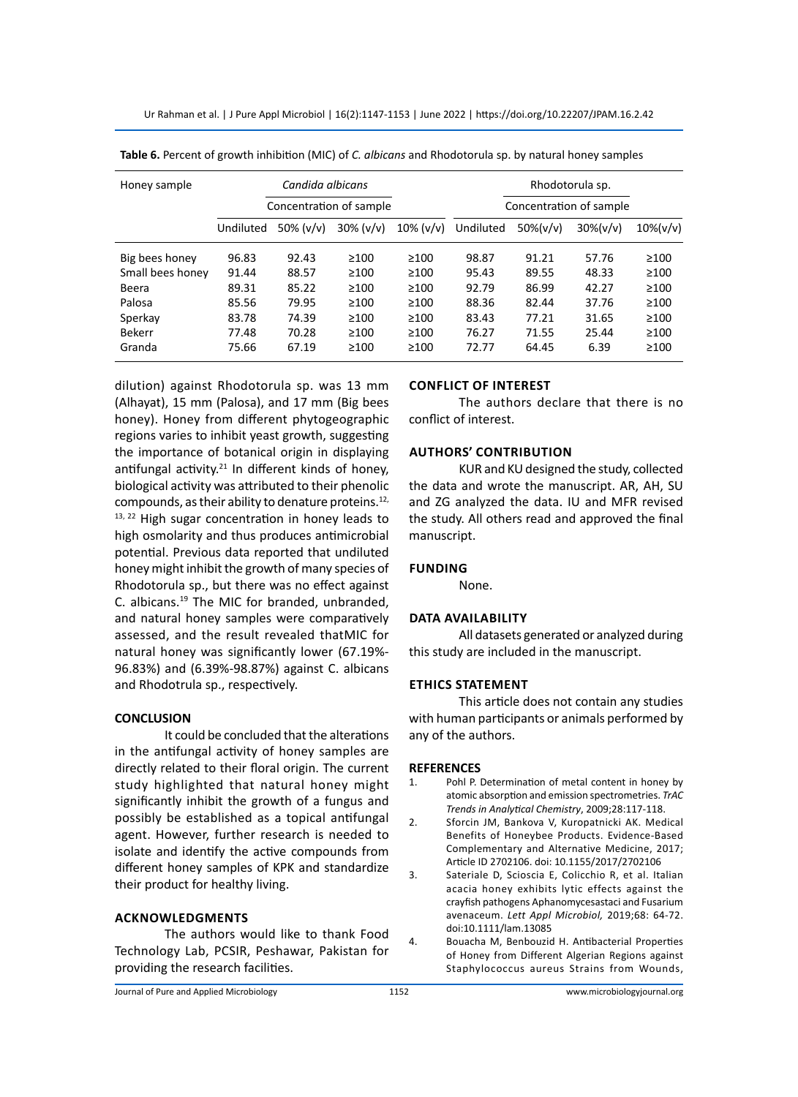Ur Rahman et al. | J Pure Appl Microbiol | 16(2):1147-1153 | June 2022 | https://doi.org/10.22207/JPAM.16.2.42

| Honey sample     |           | Candida albicans |                         |              |           | Rhodotorula sp. |                         |              |
|------------------|-----------|------------------|-------------------------|--------------|-----------|-----------------|-------------------------|--------------|
|                  |           |                  | Concentration of sample |              |           |                 | Concentration of sample |              |
|                  | Undiluted | 50% $(v/v)$      | $30\%$ ( $v/v$ )        | $10\%$ (v/v) | Undiluted | $50\% (v/v)$    | $30\% (v/v)$            | $10\% (v/v)$ |
| Big bees honey   | 96.83     | 92.43            | $\geq 100$              | >100         | 98.87     | 91.21           | 57.76                   | >100         |
| Small bees honey | 91.44     | 88.57            | $\geq 100$              | >100         | 95.43     | 89.55           | 48.33                   | >100         |
| Beera            | 89.31     | 85.22            | $\geq 100$              | >100         | 92.79     | 86.99           | 42.27                   | >100         |
| Palosa           | 85.56     | 79.95            | $\geq 100$              | >100         | 88.36     | 82.44           | 37.76                   | >100         |
| Sperkay          | 83.78     | 74.39            | $\geq 100$              | >100         | 83.43     | 77.21           | 31.65                   | >100         |
| <b>Bekerr</b>    | 77.48     | 70.28            | $\geq 100$              | >100         | 76.27     | 71.55           | 25.44                   | >100         |
| Granda           | 75.66     | 67.19            | $\geq 100$              | >100         | 72.77     | 64.45           | 6.39                    | $\geq 100$   |

**Table 6.** Percent of growth inhibition (MIC) of *C. albicans* and Rhodotorula sp. by natural honey samples

dilution) against Rhodotorula sp. was 13 mm (Alhayat), 15 mm (Palosa), and 17 mm (Big bees honey). Honey from different phytogeographic regions varies to inhibit yeast growth, suggesting the importance of botanical origin in displaying antifungal activity.<sup>21</sup> In different kinds of honey, biological activity was attributed to their phenolic compounds, as their ability to denature proteins.<sup>12,</sup> 13, 22 High sugar concentration in honey leads to high osmolarity and thus produces antimicrobial potential. Previous data reported that undiluted honey might inhibit the growth of many species of Rhodotorula sp., but there was no effect against C. albicans.19 The MIC for branded, unbranded, and natural honey samples were comparatively assessed, and the result revealed thatMIC for natural honey was significantly lower (67.19%- 96.83%) and (6.39%-98.87%) against C. albicans and Rhodotrula sp., respectively.

# **CONCLUSION**

It could be concluded that the alterations in the antifungal activity of honey samples are directly related to their floral origin. The current study highlighted that natural honey might significantly inhibit the growth of a fungus and possibly be established as a topical antifungal agent. However, further research is needed to isolate and identify the active compounds from different honey samples of KPK and standardize their product for healthy living.

# **Acknowledgments**

The authors would like to thank Food Technology Lab, PCSIR, Peshawar, Pakistan for providing the research facilities.

# **Conflict of interest**

The authors declare that there is no conflict of interest.

## **Authors' contribution**

KUR and KU designed the study, collected the data and wrote the manuscript. AR, AH, SU and ZG analyzed the data. IU and MFR revised the study. All others read and approved the final manuscript.

# **Funding**

None.

# **Data Availability**

All datasets generated or analyzed during this study are included in the manuscript.

## **Ethics Statement**

This article does not contain any studies with human participants or animals performed by any of the authors.

## **REFERENCES**

- 1. Pohl P. Determination of metal content in honey by atomic absorption and emission spectrometries. *TrAC Trends in Analytical Chemistry*, 2009;28:117-118.
- 2. Sforcin JM, Bankova V, Kuropatnicki AK. Medical Benefits of Honeybee Products. Evidence-Based Complementary and Alternative Medicine, 2017; Article ID 2702106. doi: 10.1155/2017/2702106
- 3. Sateriale D, Scioscia E, Colicchio R, et al. Italian acacia honey exhibits lytic effects against the crayfish pathogens Aphanomycesastaci and Fusarium avenaceum. *Lett Appl Microbiol,* 2019;68: 64-72. doi:10.1111/lam.13085
- 4. Bouacha M, Benbouzid H. Antibacterial Properties of Honey from Different Algerian Regions against Staphylococcus aureus Strains from Wounds,